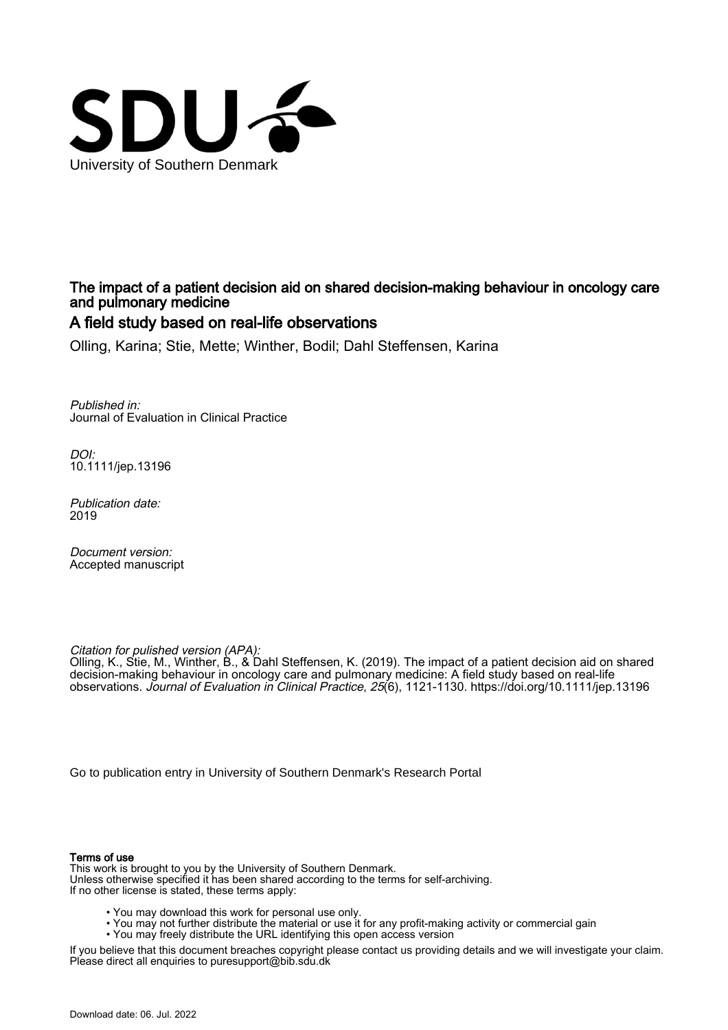

## The impact of a patient decision aid on shared decision-making behaviour in oncology care and pulmonary medicine

## A field study based on real-life observations

Olling, Karina; Stie, Mette; Winther, Bodil; Dahl Steffensen, Karina

Published in: Journal of Evaluation in Clinical Practice

DOI: [10.1111/jep.13196](https://doi.org/10.1111/jep.13196)

Publication date: 2019

Document version: Accepted manuscript

Citation for pulished version (APA):

Olling, K., Stie, M., Winther, B., & Dahl Steffensen, K. (2019). The impact of a patient decision aid on shared decision-making behaviour in oncology care and pulmonary medicine: A field study based on real-life observations. Journal of Evaluation in Clinical Practice, 25(6), 1121-1130. <https://doi.org/10.1111/jep.13196>

[Go to publication entry in University of Southern Denmark's Research Portal](https://portal.findresearcher.sdu.dk/en/publications/c311260d-1028-4b52-8ceb-06c3cf62a977)

#### Terms of use

This work is brought to you by the University of Southern Denmark. Unless otherwise specified it has been shared according to the terms for self-archiving. If no other license is stated, these terms apply:

- You may download this work for personal use only.
- You may not further distribute the material or use it for any profit-making activity or commercial gain
	- You may freely distribute the URL identifying this open access version

If you believe that this document breaches copyright please contact us providing details and we will investigate your claim. Please direct all enquiries to puresupport@bib.sdu.dk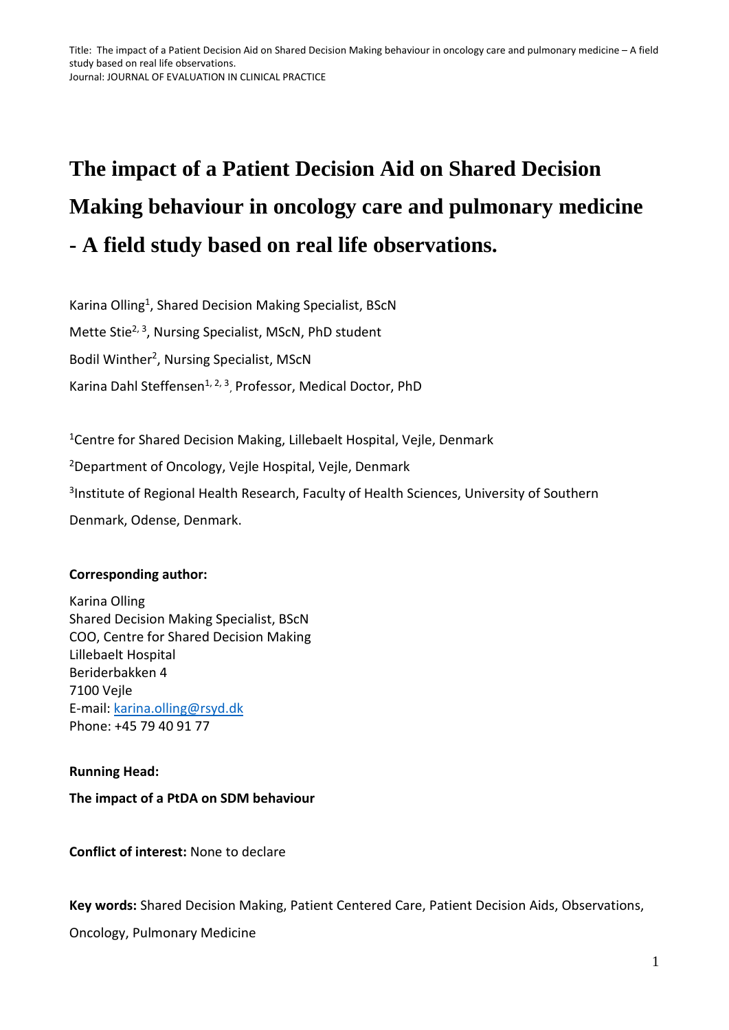# **The impact of a Patient Decision Aid on Shared Decision Making behaviour in oncology care and pulmonary medicine - A field study based on real life observations.**

Karina Olling<sup>1</sup>, Shared Decision Making Specialist, BScN Mette Stie<sup>2, 3</sup>, Nursing Specialist, MScN, PhD student Bodil Winther<sup>2</sup>, Nursing Specialist, MScN Karina Dahl Steffensen<sup>1, 2, 3</sup>, Professor, Medical Doctor, PhD

<sup>1</sup>Centre for Shared Decision Making, Lillebaelt Hospital, Vejle, Denmark <sup>2</sup>Department of Oncology, Vejle Hospital, Vejle, Denmark <sup>3</sup>Institute of Regional Health Research, Faculty of Health Sciences, University of Southern Denmark, Odense, Denmark.

## **Corresponding author:**

Karina Olling Shared Decision Making Specialist, BScN COO, Centre for Shared Decision Making Lillebaelt Hospital Beriderbakken 4 7100 Vejle E-mail: [karina.olling@rsyd.dk](mailto:karina.olling@rsyd.dk) Phone: +45 79 40 91 77

#### **Running Head:**

#### **The impact of a PtDA on SDM behaviour**

**Conflict of interest:** None to declare

**Key words:** Shared Decision Making, Patient Centered Care, Patient Decision Aids, Observations,

Oncology, Pulmonary Medicine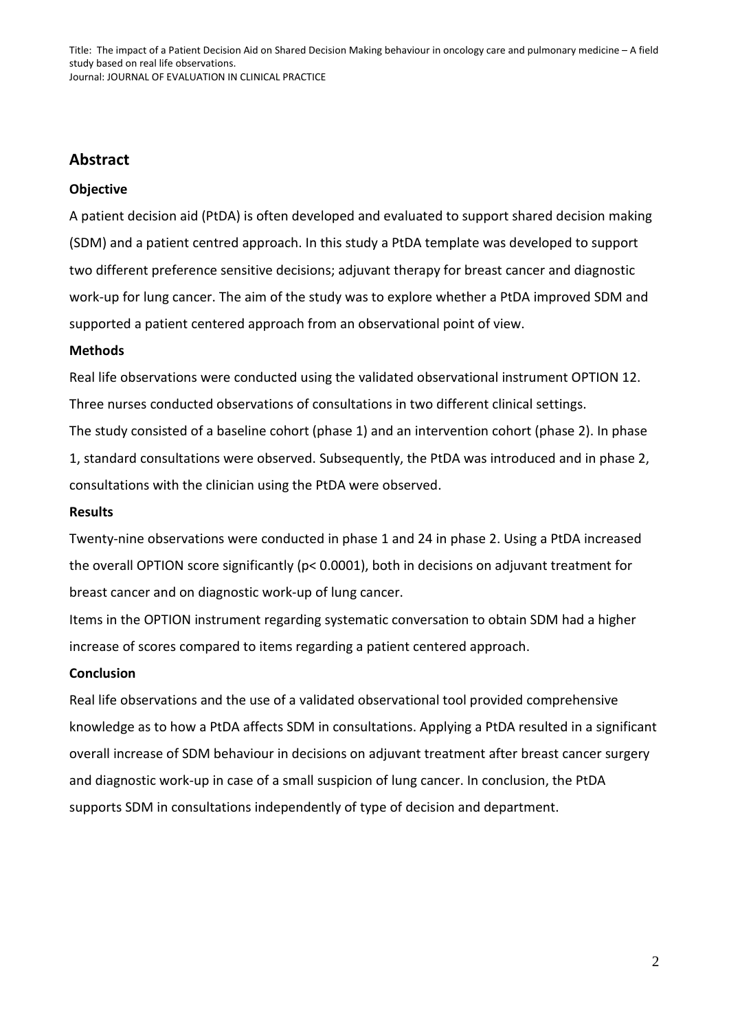## **Abstract**

### **Objective**

A patient decision aid (PtDA) is often developed and evaluated to support shared decision making (SDM) and a patient centred approach. In this study a PtDA template was developed to support two different preference sensitive decisions; adjuvant therapy for breast cancer and diagnostic work-up for lung cancer. The aim of the study was to explore whether a PtDA improved SDM and supported a patient centered approach from an observational point of view.

#### **Methods**

Real life observations were conducted using the validated observational instrument OPTION 12. Three nurses conducted observations of consultations in two different clinical settings. The study consisted of a baseline cohort (phase 1) and an intervention cohort (phase 2). In phase 1, standard consultations were observed. Subsequently, the PtDA was introduced and in phase 2, consultations with the clinician using the PtDA were observed.

#### **Results**

Twenty-nine observations were conducted in phase 1 and 24 in phase 2. Using a PtDA increased the overall OPTION score significantly (p< 0.0001), both in decisions on adjuvant treatment for breast cancer and on diagnostic work-up of lung cancer.

Items in the OPTION instrument regarding systematic conversation to obtain SDM had a higher increase of scores compared to items regarding a patient centered approach.

#### **Conclusion**

Real life observations and the use of a validated observational tool provided comprehensive knowledge as to how a PtDA affects SDM in consultations. Applying a PtDA resulted in a significant overall increase of SDM behaviour in decisions on adjuvant treatment after breast cancer surgery and diagnostic work-up in case of a small suspicion of lung cancer. In conclusion, the PtDA supports SDM in consultations independently of type of decision and department.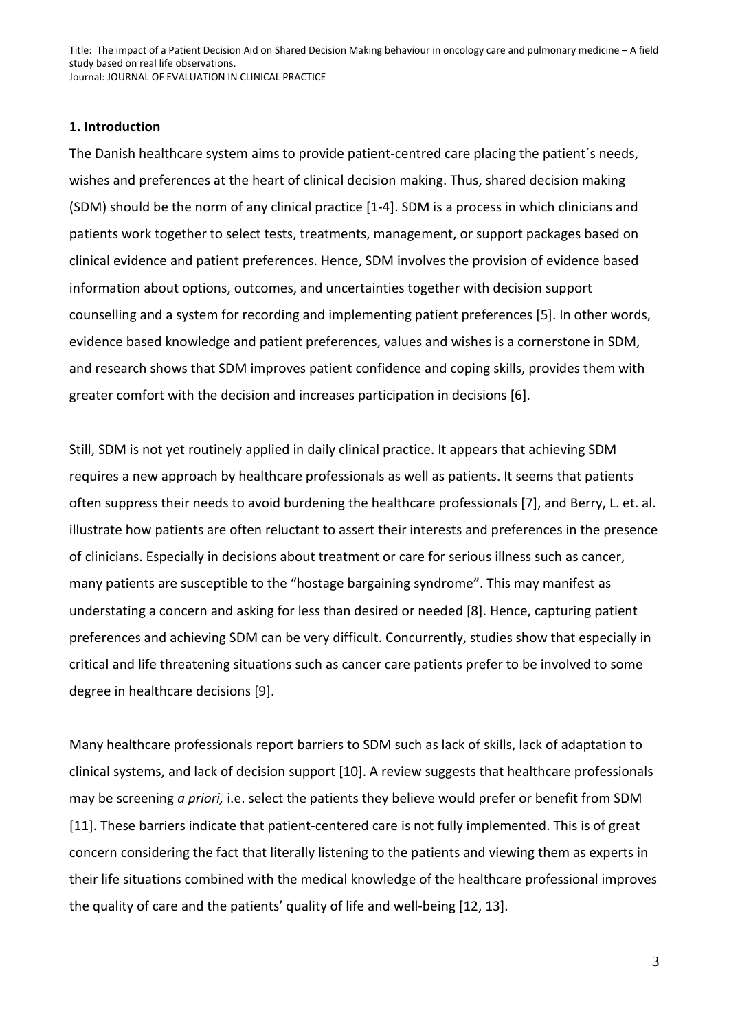#### **1. Introduction**

The Danish healthcare system aims to provide patient-centred care placing the patient´s needs, wishes and preferences at the heart of clinical decision making. Thus, shared decision making (SDM) should be the norm of any clinical practice [1-4]. SDM is a process in which clinicians and patients work together to select tests, treatments, management, or support packages based on clinical evidence and patient preferences. Hence, SDM involves the provision of evidence based information about options, outcomes, and uncertainties together with decision support counselling and a system for recording and implementing patient preferences [5]. In other words, evidence based knowledge and patient preferences, values and wishes is a cornerstone in SDM, and research shows that SDM improves patient confidence and coping skills, provides them with greater comfort with the decision and increases participation in decisions [6].

Still, SDM is not yet routinely applied in daily clinical practice. It appears that achieving SDM requires a new approach by healthcare professionals as well as patients. It seems that patients often suppress their needs to avoid burdening the healthcare professionals [7], and Berry, L. et. al. illustrate how patients are often reluctant to assert their interests and preferences in the presence of clinicians. Especially in decisions about treatment or care for serious illness such as cancer, many patients are susceptible to the "hostage bargaining syndrome". This may manifest as understating a concern and asking for less than desired or needed [8]. Hence, capturing patient preferences and achieving SDM can be very difficult. Concurrently, studies show that especially in critical and life threatening situations such as cancer care patients prefer to be involved to some degree in healthcare decisions [9].

Many healthcare professionals report barriers to SDM such as lack of skills, lack of adaptation to clinical systems, and lack of decision support [10]. A review suggests that healthcare professionals may be screening *a priori,* i.e. select the patients they believe would prefer or benefit from SDM [11]. These barriers indicate that patient-centered care is not fully implemented. This is of great concern considering the fact that literally listening to the patients and viewing them as experts in their life situations combined with the medical knowledge of the healthcare professional improves the quality of care and the patients' quality of life and well-being [12, 13].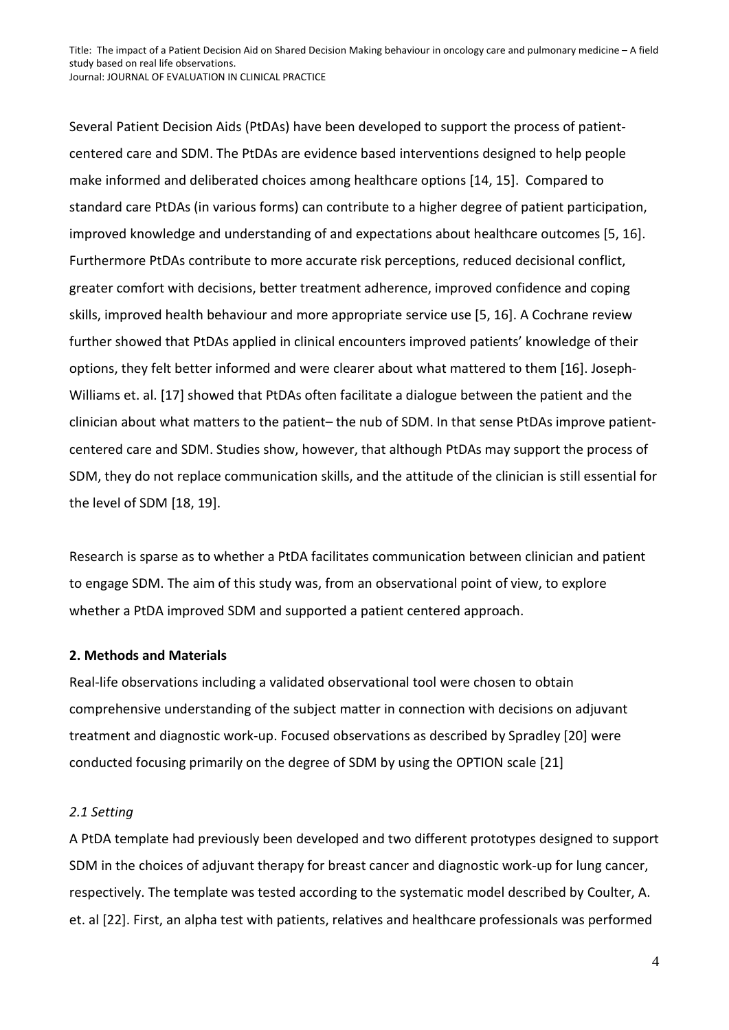Several Patient Decision Aids (PtDAs) have been developed to support the process of patientcentered care and SDM. The PtDAs are evidence based interventions designed to help people make informed and deliberated choices among healthcare options [14, 15]. Compared to standard care PtDAs (in various forms) can contribute to a higher degree of patient participation, improved knowledge and understanding of and expectations about healthcare outcomes [5, 16]. Furthermore PtDAs contribute to more accurate risk perceptions, reduced decisional conflict, greater comfort with decisions, better treatment adherence, improved confidence and coping skills, improved health behaviour and more appropriate service use [5, 16]. A Cochrane review further showed that PtDAs applied in clinical encounters improved patients' knowledge of their options, they felt better informed and were clearer about what mattered to them [16]. Joseph-Williams et. al. [17] showed that PtDAs often facilitate a dialogue between the patient and the clinician about what matters to the patient– the nub of SDM. In that sense PtDAs improve patientcentered care and SDM. Studies show, however, that although PtDAs may support the process of SDM, they do not replace communication skills, and the attitude of the clinician is still essential for the level of SDM [18, 19].

Research is sparse as to whether a PtDA facilitates communication between clinician and patient to engage SDM. The aim of this study was, from an observational point of view, to explore whether a PtDA improved SDM and supported a patient centered approach.

#### **2. Methods and Materials**

Real-life observations including a validated observational tool were chosen to obtain comprehensive understanding of the subject matter in connection with decisions on adjuvant treatment and diagnostic work-up. Focused observations as described by Spradley [20] were conducted focusing primarily on the degree of SDM by using the OPTION scale [21]

#### *2.1 Setting*

A PtDA template had previously been developed and two different prototypes designed to support SDM in the choices of adjuvant therapy for breast cancer and diagnostic work-up for lung cancer, respectively. The template was tested according to the systematic model described by Coulter, A. et. al [22]. First, an alpha test with patients, relatives and healthcare professionals was performed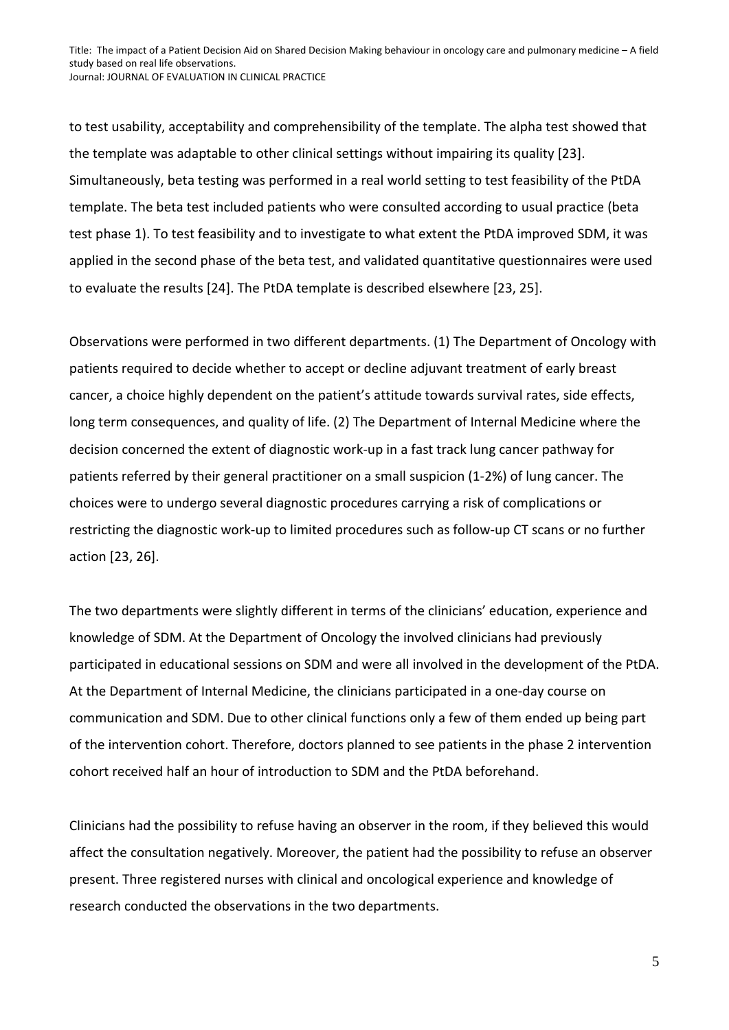to test usability, acceptability and comprehensibility of the template. The alpha test showed that the template was adaptable to other clinical settings without impairing its quality [23]. Simultaneously, beta testing was performed in a real world setting to test feasibility of the PtDA template. The beta test included patients who were consulted according to usual practice (beta test phase 1). To test feasibility and to investigate to what extent the PtDA improved SDM, it was applied in the second phase of the beta test, and validated quantitative questionnaires were used to evaluate the results [24]. The PtDA template is described elsewhere [23, 25].

Observations were performed in two different departments. (1) The Department of Oncology with patients required to decide whether to accept or decline adjuvant treatment of early breast cancer, a choice highly dependent on the patient's attitude towards survival rates, side effects, long term consequences, and quality of life. (2) The Department of Internal Medicine where the decision concerned the extent of diagnostic work-up in a fast track lung cancer pathway for patients referred by their general practitioner on a small suspicion (1-2%) of lung cancer. The choices were to undergo several diagnostic procedures carrying a risk of complications or restricting the diagnostic work-up to limited procedures such as follow-up CT scans or no further action [23, 26].

The two departments were slightly different in terms of the clinicians' education, experience and knowledge of SDM. At the Department of Oncology the involved clinicians had previously participated in educational sessions on SDM and were all involved in the development of the PtDA. At the Department of Internal Medicine, the clinicians participated in a one-day course on communication and SDM. Due to other clinical functions only a few of them ended up being part of the intervention cohort. Therefore, doctors planned to see patients in the phase 2 intervention cohort received half an hour of introduction to SDM and the PtDA beforehand.

Clinicians had the possibility to refuse having an observer in the room, if they believed this would affect the consultation negatively. Moreover, the patient had the possibility to refuse an observer present. Three registered nurses with clinical and oncological experience and knowledge of research conducted the observations in the two departments.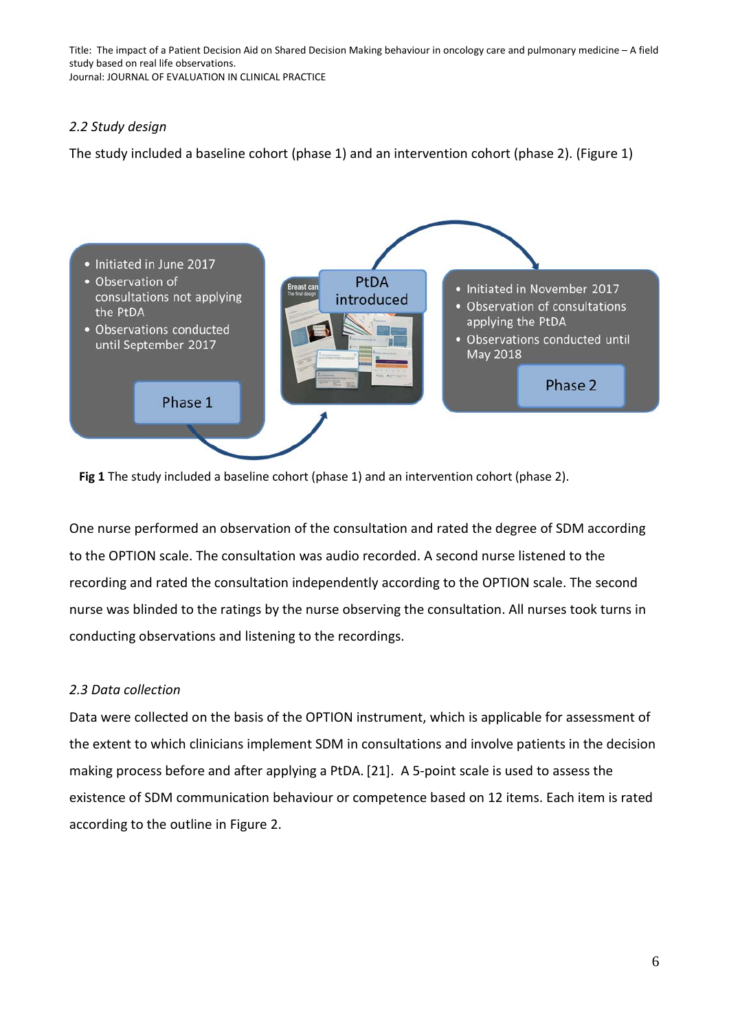#### *2.2 Study design*

The study included a baseline cohort (phase 1) and an intervention cohort (phase 2). (Figure 1)



**Fig 1** The study included a baseline cohort (phase 1) and an intervention cohort (phase 2).

One nurse performed an observation of the consultation and rated the degree of SDM according to the OPTION scale. The consultation was audio recorded. A second nurse listened to the recording and rated the consultation independently according to the OPTION scale. The second nurse was blinded to the ratings by the nurse observing the consultation. All nurses took turns in conducting observations and listening to the recordings.

## *2.3 Data collection*

Data were collected on the basis of the OPTION instrument, which is applicable for assessment of the extent to which clinicians implement SDM in consultations and involve patients in the decision making process before and after applying a PtDA. [21]. A 5-point scale is used to assess the existence of SDM communication behaviour or competence based on 12 items. Each item is rated according to the outline in Figure 2.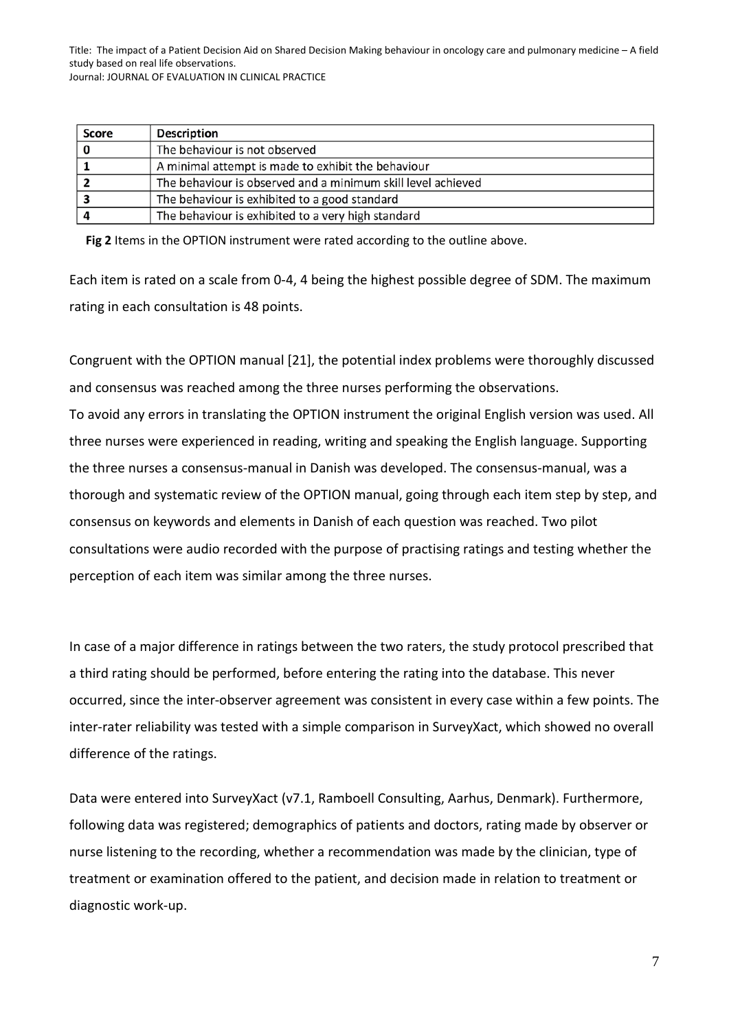| Score | <b>Description</b>                                           |
|-------|--------------------------------------------------------------|
|       | The behaviour is not observed                                |
|       | A minimal attempt is made to exhibit the behaviour           |
|       | The behaviour is observed and a minimum skill level achieved |
|       | The behaviour is exhibited to a good standard                |
|       | The behaviour is exhibited to a very high standard           |

**Fig 2** Items in the OPTION instrument were rated according to the outline above.

Each item is rated on a scale from 0-4, 4 being the highest possible degree of SDM. The maximum rating in each consultation is 48 points.

Congruent with the OPTION manual [21], the potential index problems were thoroughly discussed and consensus was reached among the three nurses performing the observations. To avoid any errors in translating the OPTION instrument the original English version was used. All three nurses were experienced in reading, writing and speaking the English language. Supporting the three nurses a consensus-manual in Danish was developed. The consensus-manual, was a thorough and systematic review of the OPTION manual, going through each item step by step, and consensus on keywords and elements in Danish of each question was reached. Two pilot consultations were audio recorded with the purpose of practising ratings and testing whether the perception of each item was similar among the three nurses.

In case of a major difference in ratings between the two raters, the study protocol prescribed that a third rating should be performed, before entering the rating into the database. This never occurred, since the inter-observer agreement was consistent in every case within a few points. The inter-rater reliability was tested with a simple comparison in SurveyXact, which showed no overall difference of the ratings.

Data were entered into SurveyXact (v7.1, Ramboell Consulting, Aarhus, Denmark). Furthermore, following data was registered; demographics of patients and doctors, rating made by observer or nurse listening to the recording, whether a recommendation was made by the clinician, type of treatment or examination offered to the patient, and decision made in relation to treatment or diagnostic work-up.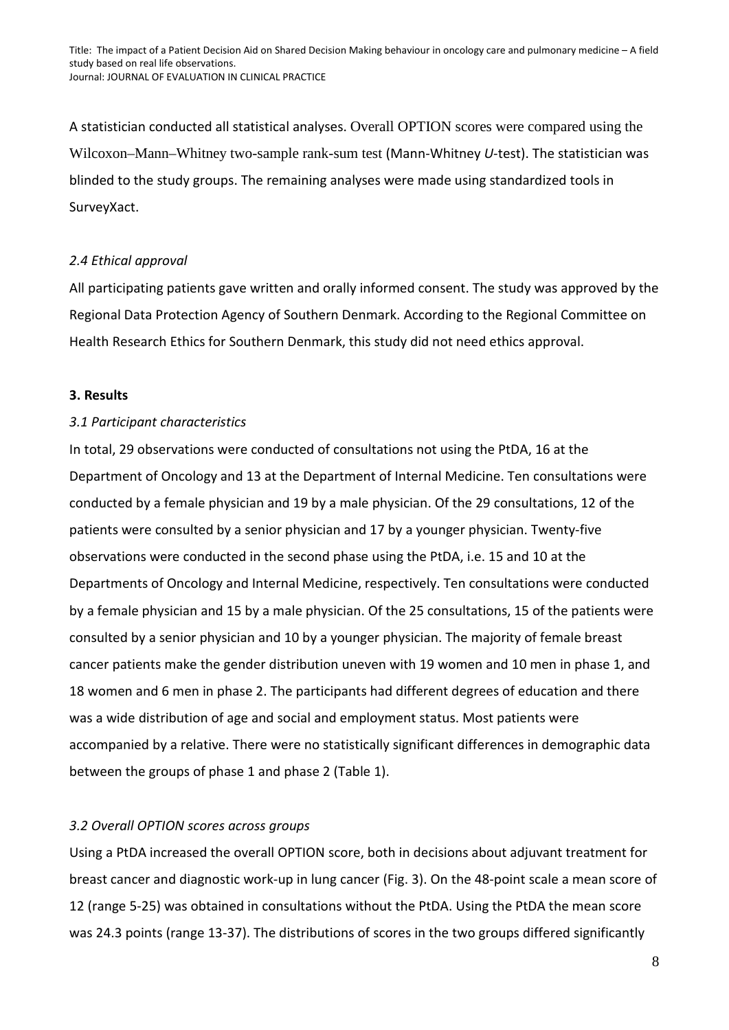A statistician conducted all statistical analyses. Overall OPTION scores were compared using the Wilcoxon–Mann–Whitney two-sample rank-sum test (Mann-Whitney *U*-test). The statistician was blinded to the study groups. The remaining analyses were made using standardized tools in SurveyXact.

### *2.4 Ethical approval*

All participating patients gave written and orally informed consent. The study was approved by the Regional Data Protection Agency of Southern Denmark. According to the Regional Committee on Health Research Ethics for Southern Denmark, this study did not need ethics approval.

#### **3. Results**

#### *3.1 Participant characteristics*

In total, 29 observations were conducted of consultations not using the PtDA, 16 at the Department of Oncology and 13 at the Department of Internal Medicine. Ten consultations were conducted by a female physician and 19 by a male physician. Of the 29 consultations, 12 of the patients were consulted by a senior physician and 17 by a younger physician. Twenty-five observations were conducted in the second phase using the PtDA, i.e. 15 and 10 at the Departments of Oncology and Internal Medicine, respectively. Ten consultations were conducted by a female physician and 15 by a male physician. Of the 25 consultations, 15 of the patients were consulted by a senior physician and 10 by a younger physician. The majority of female breast cancer patients make the gender distribution uneven with 19 women and 10 men in phase 1, and 18 women and 6 men in phase 2. The participants had different degrees of education and there was a wide distribution of age and social and employment status. Most patients were accompanied by a relative. There were no statistically significant differences in demographic data between the groups of phase 1 and phase 2 (Table 1).

## *3.2 Overall OPTION scores across groups*

Using a PtDA increased the overall OPTION score, both in decisions about adjuvant treatment for breast cancer and diagnostic work-up in lung cancer (Fig. 3). On the 48-point scale a mean score of 12 (range 5-25) was obtained in consultations without the PtDA. Using the PtDA the mean score was 24.3 points (range 13-37). The distributions of scores in the two groups differed significantly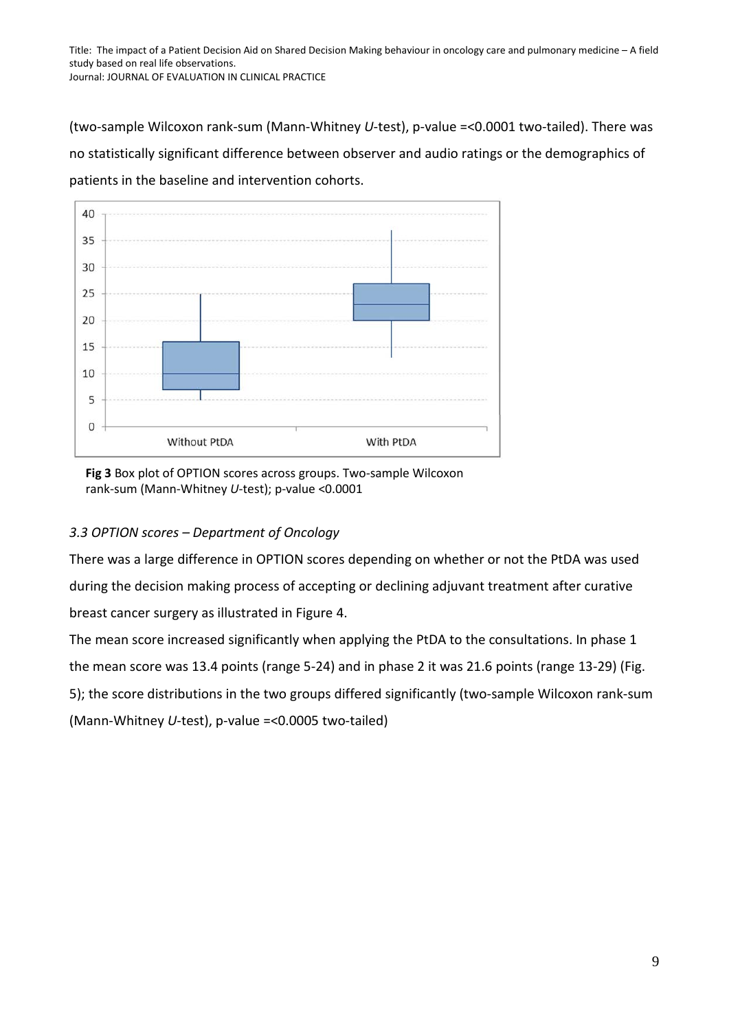(two-sample Wilcoxon rank-sum (Mann-Whitney *U*-test), p-value =<0.0001 two-tailed). There was no statistically significant difference between observer and audio ratings or the demographics of patients in the baseline and intervention cohorts.



**Fig 3** Box plot of OPTION scores across groups. Two-sample Wilcoxon rank-sum (Mann-Whitney *U*-test); p-value <0.0001

## *3.3 OPTION scores – Department of Oncology*

There was a large difference in OPTION scores depending on whether or not the PtDA was used during the decision making process of accepting or declining adjuvant treatment after curative breast cancer surgery as illustrated in Figure 4.

The mean score increased significantly when applying the PtDA to the consultations. In phase 1 the mean score was 13.4 points (range 5-24) and in phase 2 it was 21.6 points (range 13-29) (Fig. 5); the score distributions in the two groups differed significantly (two-sample Wilcoxon rank-sum (Mann-Whitney *U*-test), p-value =<0.0005 two-tailed)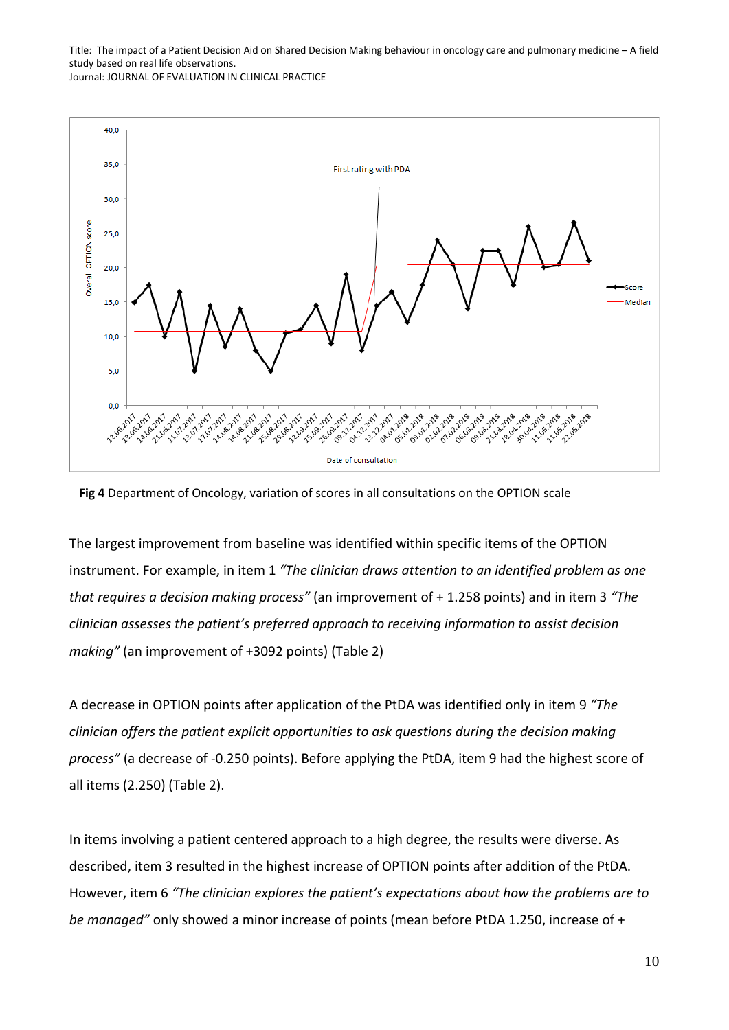



The largest improvement from baseline was identified within specific items of the OPTION instrument. For example, in item 1 *"The clinician draws attention to an identified problem as one that requires a decision making process"* (an improvement of + 1.258 points) and in item 3 *"The clinician assesses the patient's preferred approach to receiving information to assist decision making"* (an improvement of +3092 points) (Table 2)

A decrease in OPTION points after application of the PtDA was identified only in item 9 *"The clinician offers the patient explicit opportunities to ask questions during the decision making process"* (a decrease of -0.250 points). Before applying the PtDA, item 9 had the highest score of all items (2.250) (Table 2).

In items involving a patient centered approach to a high degree, the results were diverse. As described, item 3 resulted in the highest increase of OPTION points after addition of the PtDA. However, item 6 *"The clinician explores the patient's expectations about how the problems are to be managed"* only showed a minor increase of points (mean before PtDA 1.250, increase of +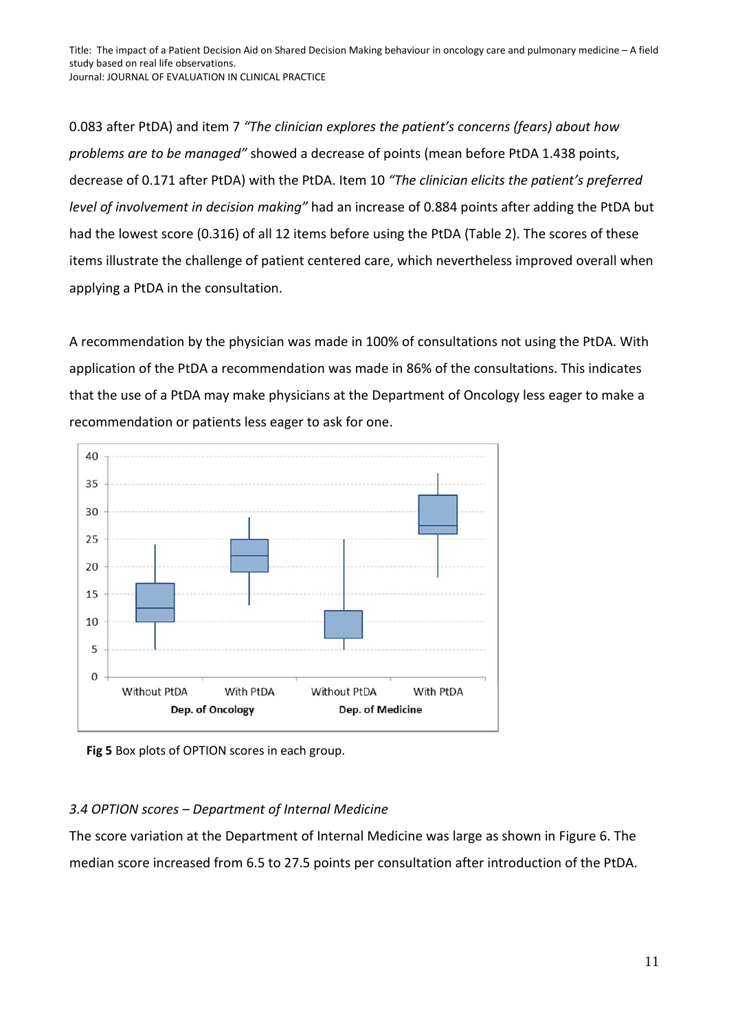0.083 after PtDA) and item 7 *"The clinician explores the patient's concerns (fears) about how problems are to be managed"* showed a decrease of points (mean before PtDA 1.438 points, decrease of 0.171 after PtDA) with the PtDA. Item 10 *"The clinician elicits the patient's preferred level of involvement in decision making"* had an increase of 0.884 points after adding the PtDA but had the lowest score (0.316) of all 12 items before using the PtDA (Table 2). The scores of these items illustrate the challenge of patient centered care, which nevertheless improved overall when applying a PtDA in the consultation.

A recommendation by the physician was made in 100% of consultations not using the PtDA. With application of the PtDA a recommendation was made in 86% of the consultations. This indicates that the use of a PtDA may make physicians at the Department of Oncology less eager to make a recommendation or patients less eager to ask for one.



**Fig 5** Box plots of OPTION scores in each group.

## *3.4 OPTION scores – Department of Internal Medicine*

The score variation at the Department of Internal Medicine was large as shown in Figure 6. The median score increased from 6.5 to 27.5 points per consultation after introduction of the PtDA.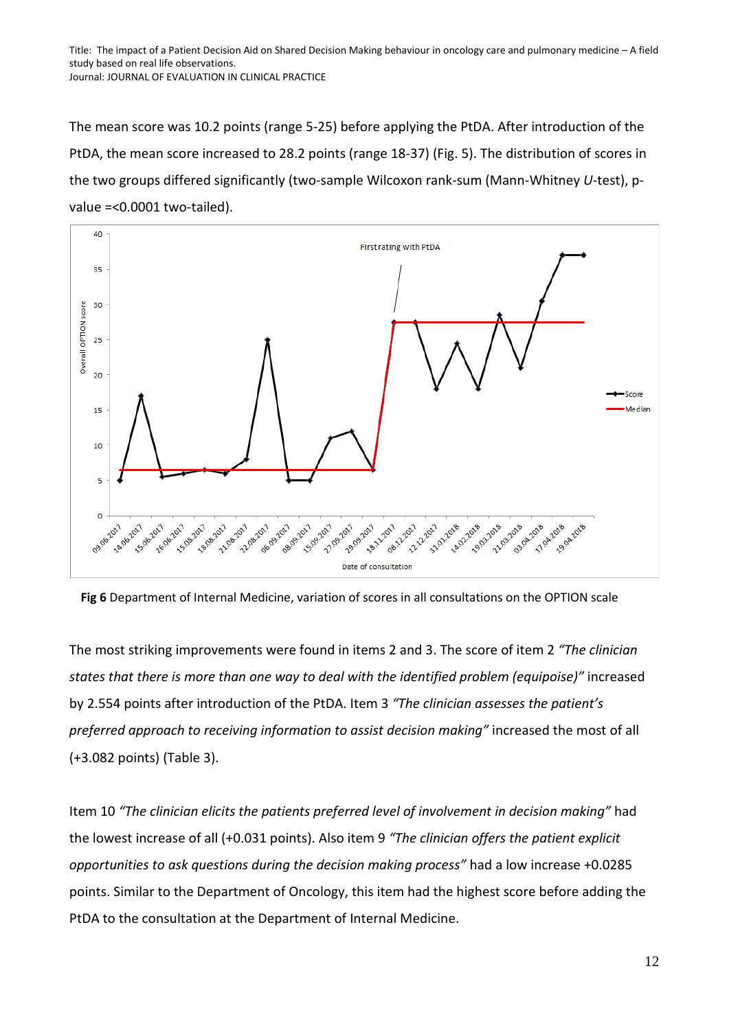The mean score was 10.2 points (range 5-25) before applying the PtDA. After introduction of the PtDA, the mean score increased to 28.2 points (range 18-37) (Fig. 5). The distribution of scores in the two groups differed significantly (two-sample Wilcoxon rank-sum (Mann-Whitney *U*-test), pvalue =<0.0001 two-tailed).



**Fig 6** Department of Internal Medicine, variation of scores in all consultations on the OPTION scale

The most striking improvements were found in items 2 and 3. The score of item 2 *"The clinician states that there is more than one way to deal with the identified problem (equipoise)"* increased by 2.554 points after introduction of the PtDA. Item 3 *"The clinician assesses the patient's preferred approach to receiving information to assist decision making"* increased the most of all (+3.082 points) (Table 3).

Item 10 *"The clinician elicits the patients preferred level of involvement in decision making"* had the lowest increase of all (+0.031 points). Also item 9 *"The clinician offers the patient explicit opportunities to ask questions during the decision making process"* had a low increase +0.0285 points. Similar to the Department of Oncology, this item had the highest score before adding the PtDA to the consultation at the Department of Internal Medicine.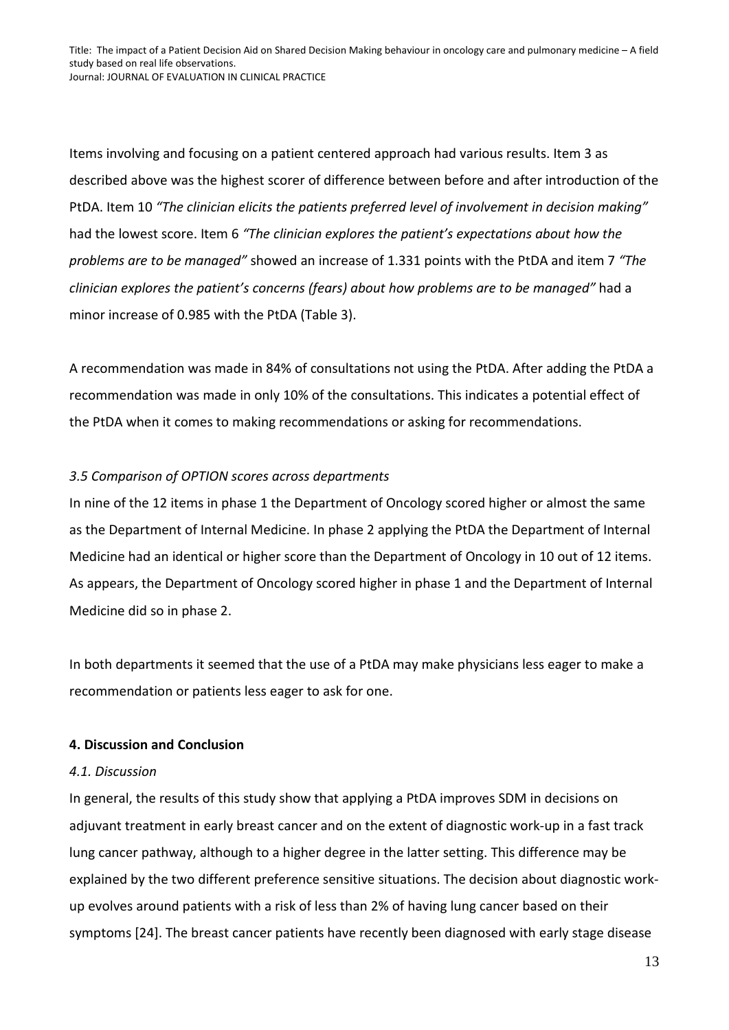Items involving and focusing on a patient centered approach had various results. Item 3 as described above was the highest scorer of difference between before and after introduction of the PtDA. Item 10 *"The clinician elicits the patients preferred level of involvement in decision making"*  had the lowest score. Item 6 *"The clinician explores the patient's expectations about how the problems are to be managed"* showed an increase of 1.331 points with the PtDA and item 7 *"The clinician explores the patient's concerns (fears) about how problems are to be managed"* had a minor increase of 0.985 with the PtDA (Table 3).

A recommendation was made in 84% of consultations not using the PtDA. After adding the PtDA a recommendation was made in only 10% of the consultations. This indicates a potential effect of the PtDA when it comes to making recommendations or asking for recommendations.

## *3.5 Comparison of OPTION scores across departments*

In nine of the 12 items in phase 1 the Department of Oncology scored higher or almost the same as the Department of Internal Medicine. In phase 2 applying the PtDA the Department of Internal Medicine had an identical or higher score than the Department of Oncology in 10 out of 12 items. As appears, the Department of Oncology scored higher in phase 1 and the Department of Internal Medicine did so in phase 2.

In both departments it seemed that the use of a PtDA may make physicians less eager to make a recommendation or patients less eager to ask for one.

#### **4. Discussion and Conclusion**

#### *4.1. Discussion*

In general, the results of this study show that applying a PtDA improves SDM in decisions on adjuvant treatment in early breast cancer and on the extent of diagnostic work-up in a fast track lung cancer pathway, although to a higher degree in the latter setting. This difference may be explained by the two different preference sensitive situations. The decision about diagnostic workup evolves around patients with a risk of less than 2% of having lung cancer based on their symptoms [24]. The breast cancer patients have recently been diagnosed with early stage disease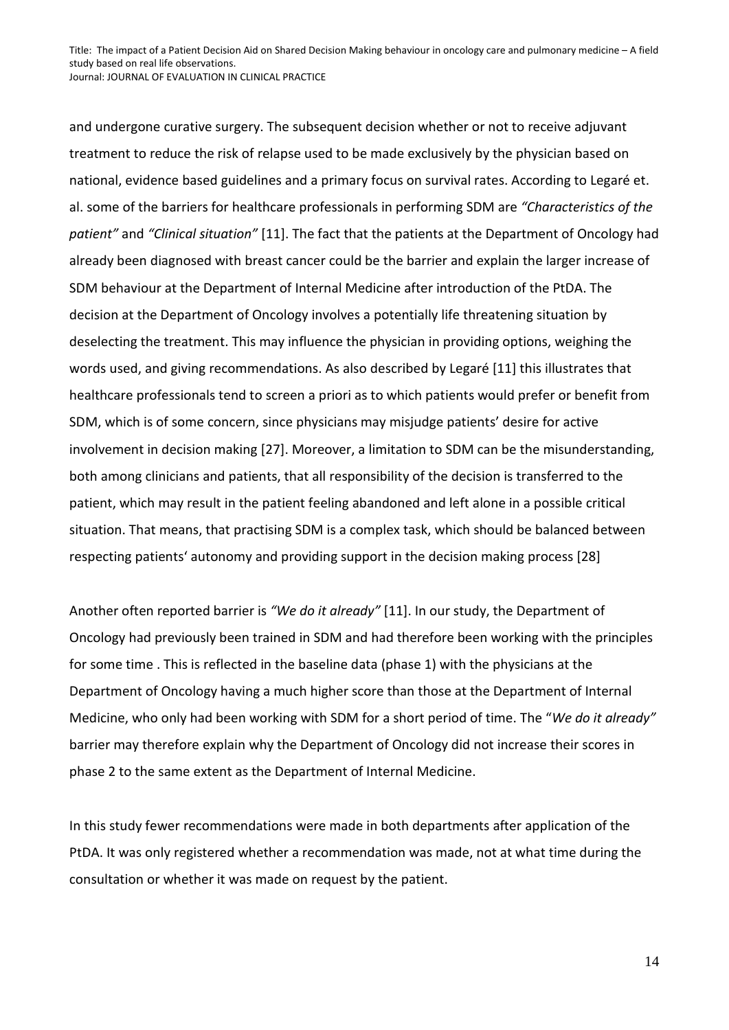and undergone curative surgery. The subsequent decision whether or not to receive adjuvant treatment to reduce the risk of relapse used to be made exclusively by the physician based on national, evidence based guidelines and a primary focus on survival rates. According to Legaré et. al. some of the barriers for healthcare professionals in performing SDM are *"Characteristics of the patient"* and *"Clinical situation"* [11]. The fact that the patients at the Department of Oncology had already been diagnosed with breast cancer could be the barrier and explain the larger increase of SDM behaviour at the Department of Internal Medicine after introduction of the PtDA. The decision at the Department of Oncology involves a potentially life threatening situation by deselecting the treatment. This may influence the physician in providing options, weighing the words used, and giving recommendations. As also described by Legaré [11] this illustrates that healthcare professionals tend to screen a priori as to which patients would prefer or benefit from SDM, which is of some concern, since physicians may misjudge patients' desire for active involvement in decision making [27]. Moreover, a limitation to SDM can be the misunderstanding, both among clinicians and patients, that all responsibility of the decision is transferred to the patient, which may result in the patient feeling abandoned and left alone in a possible critical situation. That means, that practising SDM is a complex task, which should be balanced between respecting patients' autonomy and providing support in the decision making process [28]

Another often reported barrier is *"We do it already"* [11]. In our study, the Department of Oncology had previously been trained in SDM and had therefore been working with the principles for some time . This is reflected in the baseline data (phase 1) with the physicians at the Department of Oncology having a much higher score than those at the Department of Internal Medicine, who only had been working with SDM for a short period of time. The "*We do it already"* barrier may therefore explain why the Department of Oncology did not increase their scores in phase 2 to the same extent as the Department of Internal Medicine.

In this study fewer recommendations were made in both departments after application of the PtDA. It was only registered whether a recommendation was made, not at what time during the consultation or whether it was made on request by the patient.

14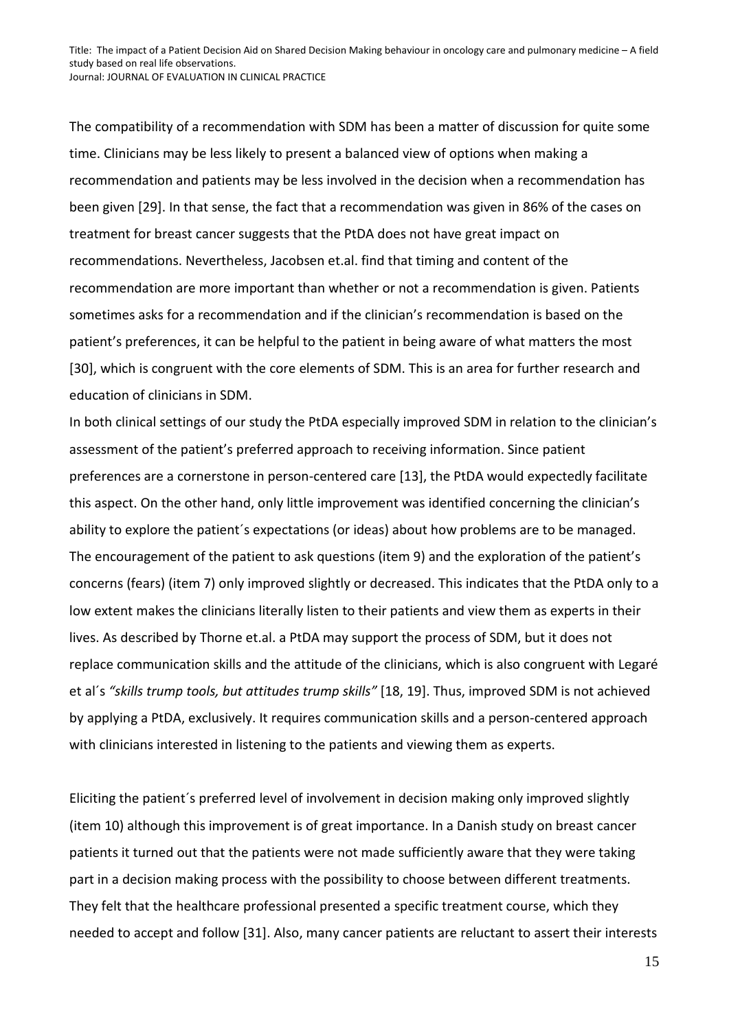The compatibility of a recommendation with SDM has been a matter of discussion for quite some time. Clinicians may be less likely to present a balanced view of options when making a recommendation and patients may be less involved in the decision when a recommendation has been given [29]. In that sense, the fact that a recommendation was given in 86% of the cases on treatment for breast cancer suggests that the PtDA does not have great impact on recommendations. Nevertheless, Jacobsen et.al. find that timing and content of the recommendation are more important than whether or not a recommendation is given. Patients sometimes asks for a recommendation and if the clinician's recommendation is based on the patient's preferences, it can be helpful to the patient in being aware of what matters the most [30], which is congruent with the core elements of SDM. This is an area for further research and education of clinicians in SDM.

In both clinical settings of our study the PtDA especially improved SDM in relation to the clinician's assessment of the patient's preferred approach to receiving information. Since patient preferences are a cornerstone in person-centered care [13], the PtDA would expectedly facilitate this aspect. On the other hand, only little improvement was identified concerning the clinician's ability to explore the patient´s expectations (or ideas) about how problems are to be managed. The encouragement of the patient to ask questions (item 9) and the exploration of the patient's concerns (fears) (item 7) only improved slightly or decreased. This indicates that the PtDA only to a low extent makes the clinicians literally listen to their patients and view them as experts in their lives. As described by Thorne et.al. a PtDA may support the process of SDM, but it does not replace communication skills and the attitude of the clinicians, which is also congruent with Legaré et al´s *"skills trump tools, but attitudes trump skills"* [18, 19]. Thus, improved SDM is not achieved by applying a PtDA, exclusively. It requires communication skills and a person-centered approach with clinicians interested in listening to the patients and viewing them as experts.

Eliciting the patient´s preferred level of involvement in decision making only improved slightly (item 10) although this improvement is of great importance. In a Danish study on breast cancer patients it turned out that the patients were not made sufficiently aware that they were taking part in a decision making process with the possibility to choose between different treatments. They felt that the healthcare professional presented a specific treatment course, which they needed to accept and follow [31]. Also, many cancer patients are reluctant to assert their interests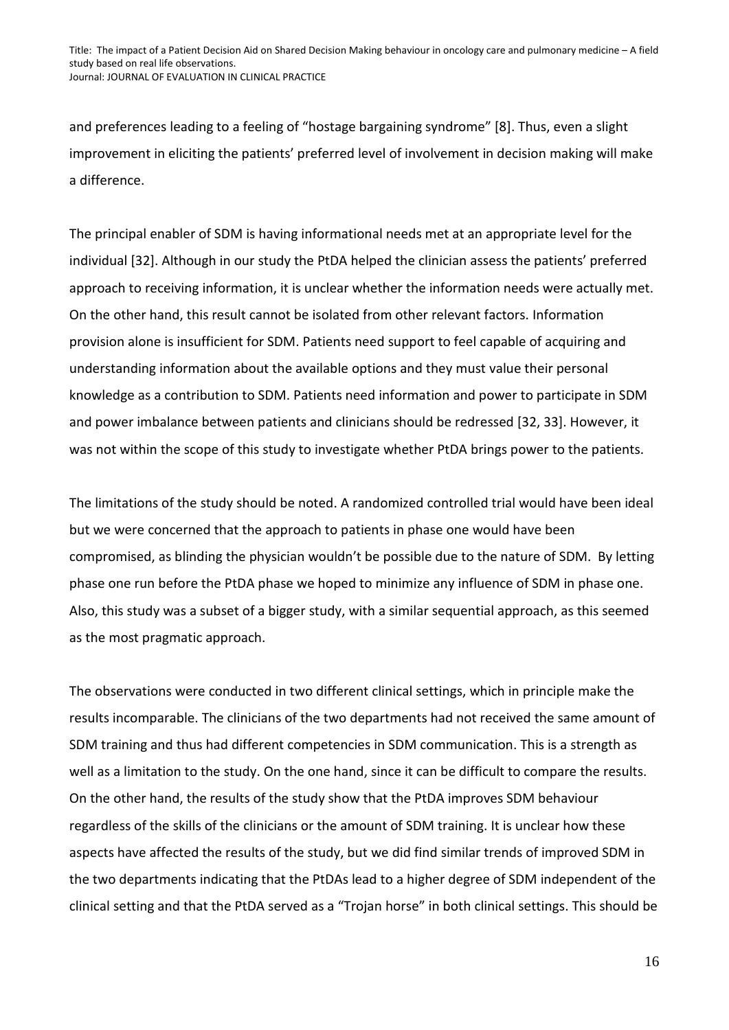and preferences leading to a feeling of "hostage bargaining syndrome" [8]. Thus, even a slight improvement in eliciting the patients' preferred level of involvement in decision making will make a difference.

The principal enabler of SDM is having informational needs met at an appropriate level for the individual [32]. Although in our study the PtDA helped the clinician assess the patients' preferred approach to receiving information, it is unclear whether the information needs were actually met. On the other hand, this result cannot be isolated from other relevant factors. Information provision alone is insufficient for SDM. Patients need support to feel capable of acquiring and understanding information about the available options and they must value their personal knowledge as a contribution to SDM. Patients need information and power to participate in SDM and power imbalance between patients and clinicians should be redressed [32, 33]. However, it was not within the scope of this study to investigate whether PtDA brings power to the patients.

The limitations of the study should be noted. A randomized controlled trial would have been ideal but we were concerned that the approach to patients in phase one would have been compromised, as blinding the physician wouldn't be possible due to the nature of SDM. By letting phase one run before the PtDA phase we hoped to minimize any influence of SDM in phase one. Also, this study was a subset of a bigger study, with a similar sequential approach, as this seemed as the most pragmatic approach.

The observations were conducted in two different clinical settings, which in principle make the results incomparable. The clinicians of the two departments had not received the same amount of SDM training and thus had different competencies in SDM communication. This is a strength as well as a limitation to the study. On the one hand, since it can be difficult to compare the results. On the other hand, the results of the study show that the PtDA improves SDM behaviour regardless of the skills of the clinicians or the amount of SDM training. It is unclear how these aspects have affected the results of the study, but we did find similar trends of improved SDM in the two departments indicating that the PtDAs lead to a higher degree of SDM independent of the clinical setting and that the PtDA served as a "Trojan horse" in both clinical settings. This should be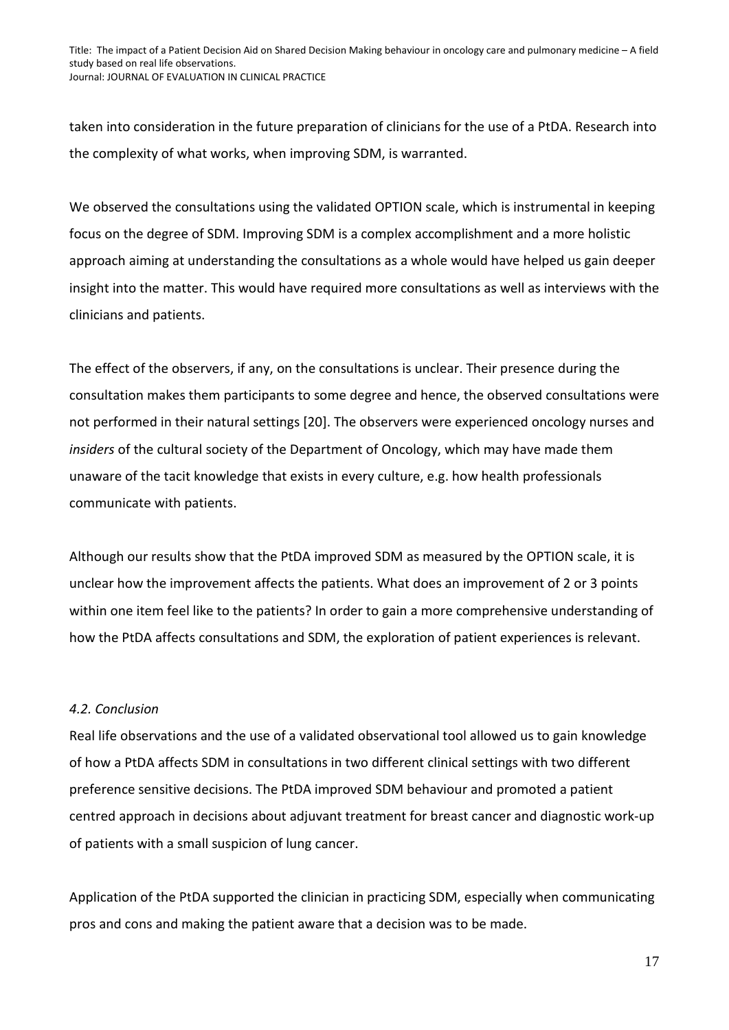taken into consideration in the future preparation of clinicians for the use of a PtDA. Research into the complexity of what works, when improving SDM, is warranted.

We observed the consultations using the validated OPTION scale, which is instrumental in keeping focus on the degree of SDM. Improving SDM is a complex accomplishment and a more holistic approach aiming at understanding the consultations as a whole would have helped us gain deeper insight into the matter. This would have required more consultations as well as interviews with the clinicians and patients.

The effect of the observers, if any, on the consultations is unclear. Their presence during the consultation makes them participants to some degree and hence, the observed consultations were not performed in their natural settings [20]. The observers were experienced oncology nurses and *insiders* of the cultural society of the Department of Oncology, which may have made them unaware of the tacit knowledge that exists in every culture, e.g. how health professionals communicate with patients.

Although our results show that the PtDA improved SDM as measured by the OPTION scale, it is unclear how the improvement affects the patients. What does an improvement of 2 or 3 points within one item feel like to the patients? In order to gain a more comprehensive understanding of how the PtDA affects consultations and SDM, the exploration of patient experiences is relevant.

#### *4.2. Conclusion*

Real life observations and the use of a validated observational tool allowed us to gain knowledge of how a PtDA affects SDM in consultations in two different clinical settings with two different preference sensitive decisions. The PtDA improved SDM behaviour and promoted a patient centred approach in decisions about adjuvant treatment for breast cancer and diagnostic work-up of patients with a small suspicion of lung cancer.

Application of the PtDA supported the clinician in practicing SDM, especially when communicating pros and cons and making the patient aware that a decision was to be made.

17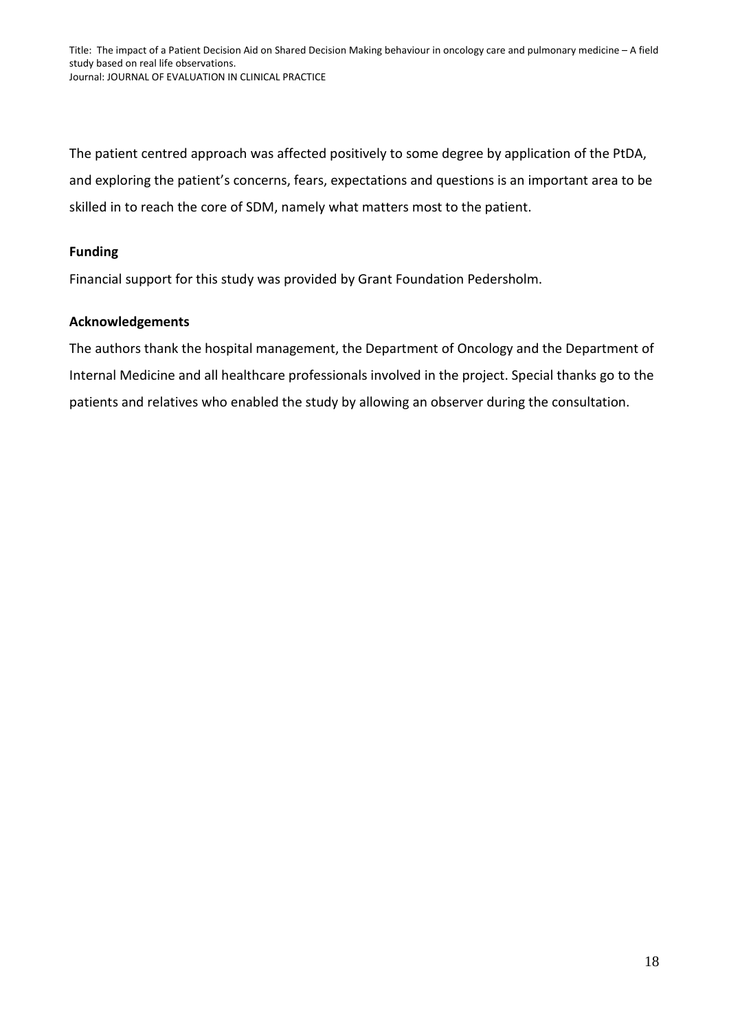The patient centred approach was affected positively to some degree by application of the PtDA, and exploring the patient's concerns, fears, expectations and questions is an important area to be skilled in to reach the core of SDM, namely what matters most to the patient.

## **Funding**

Financial support for this study was provided by Grant Foundation Pedersholm.

#### **Acknowledgements**

The authors thank the hospital management, the Department of Oncology and the Department of Internal Medicine and all healthcare professionals involved in the project. Special thanks go to the patients and relatives who enabled the study by allowing an observer during the consultation.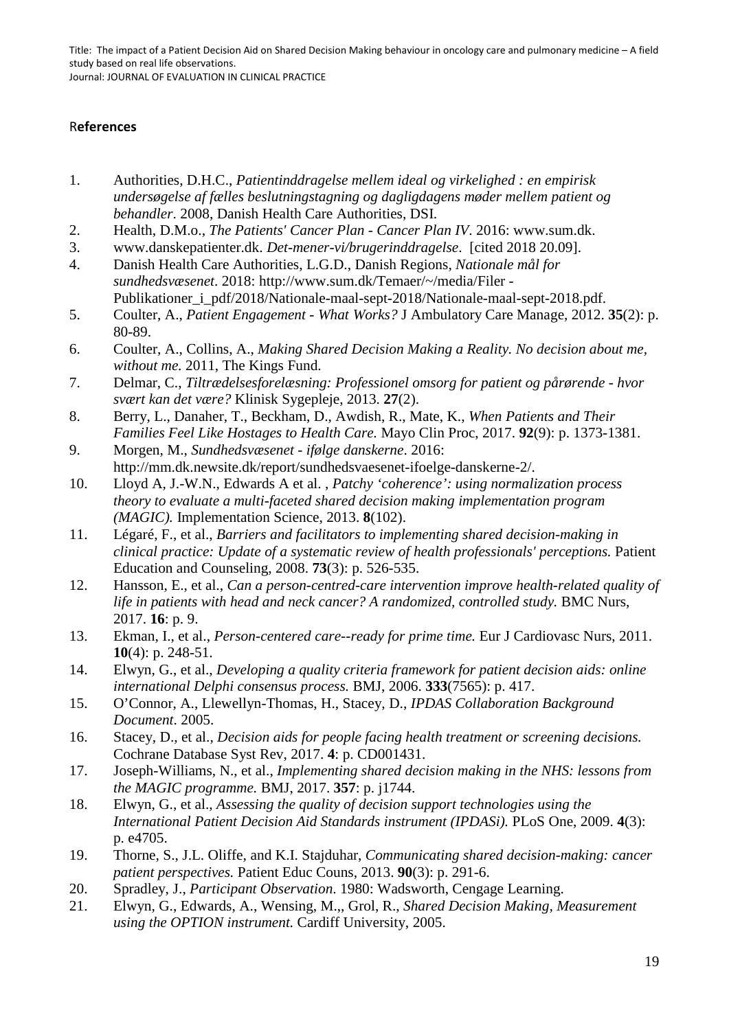### R**eferences**

- 1. Authorities, D.H.C., *Patientinddragelse mellem ideal og virkelighed : en empirisk undersøgelse af fælles beslutningstagning og dagligdagens møder mellem patient og behandler*. 2008, Danish Health Care Authorities, DSI.
- 2. Health, D.M.o., *The Patients' Cancer Plan - Cancer Plan IV*. 2016: www.sum.dk.
- 3. www.danskepatienter.dk. *Det-mener-vi/brugerinddragelse*. [cited 2018 20.09].
- 4. Danish Health Care Authorities, L.G.D., Danish Regions, *Nationale mål for sundhedsvæsenet*. 2018: http://www.sum.dk/Temaer/~/media/Filer - Publikationer\_i\_pdf/2018/Nationale-maal-sept-2018/Nationale-maal-sept-2018.pdf.
- 5. Coulter, A., *Patient Engagement - What Works?* J Ambulatory Care Manage, 2012. **35**(2): p. 80-89.
- 6. Coulter, A., Collins, A., *Making Shared Decision Making a Reality. No decision about me, without me.* 2011, The Kings Fund.
- 7. Delmar, C., *Tiltrædelsesforelæsning: Professionel omsorg for patient og pårørende - hvor svært kan det være?* Klinisk Sygepleje, 2013. **27**(2).
- 8. Berry, L., Danaher, T., Beckham, D., Awdish, R., Mate, K., *When Patients and Their Families Feel Like Hostages to Health Care.* Mayo Clin Proc, 2017. **92**(9): p. 1373-1381.
- 9. Morgen, M., *Sundhedsvæsenet - ifølge danskerne*. 2016: http://mm.dk.newsite.dk/report/sundhedsvaesenet-ifoelge-danskerne-2/.
- 10. Lloyd A, J.-W.N., Edwards A et al. , *Patchy 'coherence': using normalization process theory to evaluate a multi-faceted shared decision making implementation program (MAGIC).* Implementation Science, 2013. **8**(102).
- 11. Légaré, F., et al., *Barriers and facilitators to implementing shared decision-making in clinical practice: Update of a systematic review of health professionals' perceptions.* Patient Education and Counseling, 2008. **73**(3): p. 526-535.
- 12. Hansson, E., et al., *Can a person-centred-care intervention improve health-related quality of life in patients with head and neck cancer? A randomized, controlled study.* BMC Nurs, 2017. **16**: p. 9.
- 13. Ekman, I., et al., *Person-centered care--ready for prime time.* Eur J Cardiovasc Nurs, 2011. **10**(4): p. 248-51.
- 14. Elwyn, G., et al., *Developing a quality criteria framework for patient decision aids: online international Delphi consensus process.* BMJ, 2006. **333**(7565): p. 417.
- 15. O'Connor, A., Llewellyn-Thomas, H., Stacey, D., *IPDAS Collaboration Background Document*. 2005.
- 16. Stacey, D., et al., *Decision aids for people facing health treatment or screening decisions.* Cochrane Database Syst Rev, 2017. **4**: p. CD001431.
- 17. Joseph-Williams, N., et al., *Implementing shared decision making in the NHS: lessons from the MAGIC programme.* BMJ, 2017. **357**: p. j1744.
- 18. Elwyn, G., et al., *Assessing the quality of decision support technologies using the International Patient Decision Aid Standards instrument (IPDASi).* PLoS One, 2009. **4**(3): p. e4705.
- 19. Thorne, S., J.L. Oliffe, and K.I. Stajduhar, *Communicating shared decision-making: cancer patient perspectives.* Patient Educ Couns, 2013. **90**(3): p. 291-6.
- 20. Spradley, J., *Participant Observation*. 1980: Wadsworth, Cengage Learning.
- 21. Elwyn, G., Edwards, A., Wensing, M.,, Grol, R., *Shared Decision Making, Measurement using the OPTION instrument.* Cardiff University, 2005.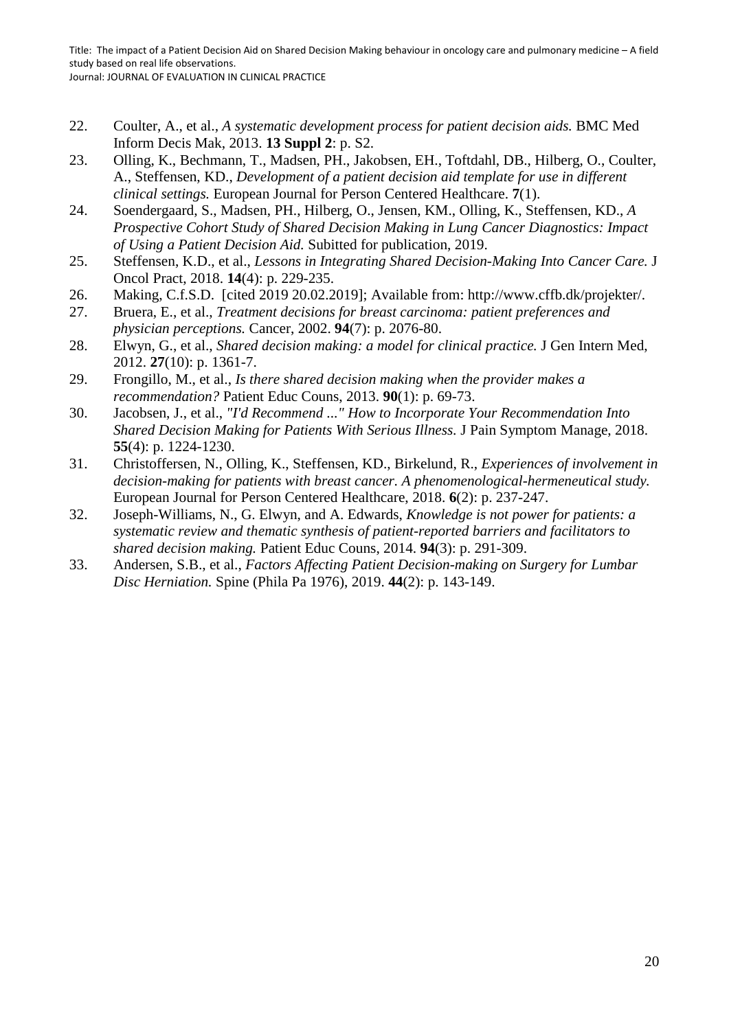Title: The impact of a Patient Decision Aid on Shared Decision Making behaviour in oncology care and pulmonary medicine – A field study based on real life observations.

Journal: JOURNAL OF EVALUATION IN CLINICAL PRACTICE

- 22. Coulter, A., et al., *A systematic development process for patient decision aids.* BMC Med Inform Decis Mak, 2013. **13 Suppl 2**: p. S2.
- 23. Olling, K., Bechmann, T., Madsen, PH., Jakobsen, EH., Toftdahl, DB., Hilberg, O., Coulter, A., Steffensen, KD., *Development of a patient decision aid template for use in different clinical settings.* European Journal for Person Centered Healthcare. **7**(1).
- 24. Soendergaard, S., Madsen, PH., Hilberg, O., Jensen, KM., Olling, K., Steffensen, KD., *A Prospective Cohort Study of Shared Decision Making in Lung Cancer Diagnostics: Impact of Using a Patient Decision Aid.* Subitted for publication, 2019.
- 25. Steffensen, K.D., et al., *Lessons in Integrating Shared Decision-Making Into Cancer Care.* J Oncol Pract, 2018. **14**(4): p. 229-235.
- 26. Making, C.f.S.D. [cited 2019 20.02.2019]; Available from: http://www.cffb.dk/projekter/.
- 27. Bruera, E., et al., *Treatment decisions for breast carcinoma: patient preferences and physician perceptions.* Cancer, 2002. **94**(7): p. 2076-80.
- 28. Elwyn, G., et al., *Shared decision making: a model for clinical practice.* J Gen Intern Med, 2012. **27**(10): p. 1361-7.
- 29. Frongillo, M., et al., *Is there shared decision making when the provider makes a recommendation?* Patient Educ Couns, 2013. **90**(1): p. 69-73.
- 30. Jacobsen, J., et al., *"I'd Recommend ..." How to Incorporate Your Recommendation Into Shared Decision Making for Patients With Serious Illness.* J Pain Symptom Manage, 2018. **55**(4): p. 1224-1230.
- 31. Christoffersen, N., Olling, K., Steffensen, KD., Birkelund, R., *Experiences of involvement in decision-making for patients with breast cancer. A phenomenological-hermeneutical study.* European Journal for Person Centered Healthcare, 2018. **6**(2): p. 237-247.
- 32. Joseph-Williams, N., G. Elwyn, and A. Edwards, *Knowledge is not power for patients: a systematic review and thematic synthesis of patient-reported barriers and facilitators to shared decision making.* Patient Educ Couns, 2014. **94**(3): p. 291-309.
- 33. Andersen, S.B., et al., *Factors Affecting Patient Decision-making on Surgery for Lumbar Disc Herniation.* Spine (Phila Pa 1976), 2019. **44**(2): p. 143-149.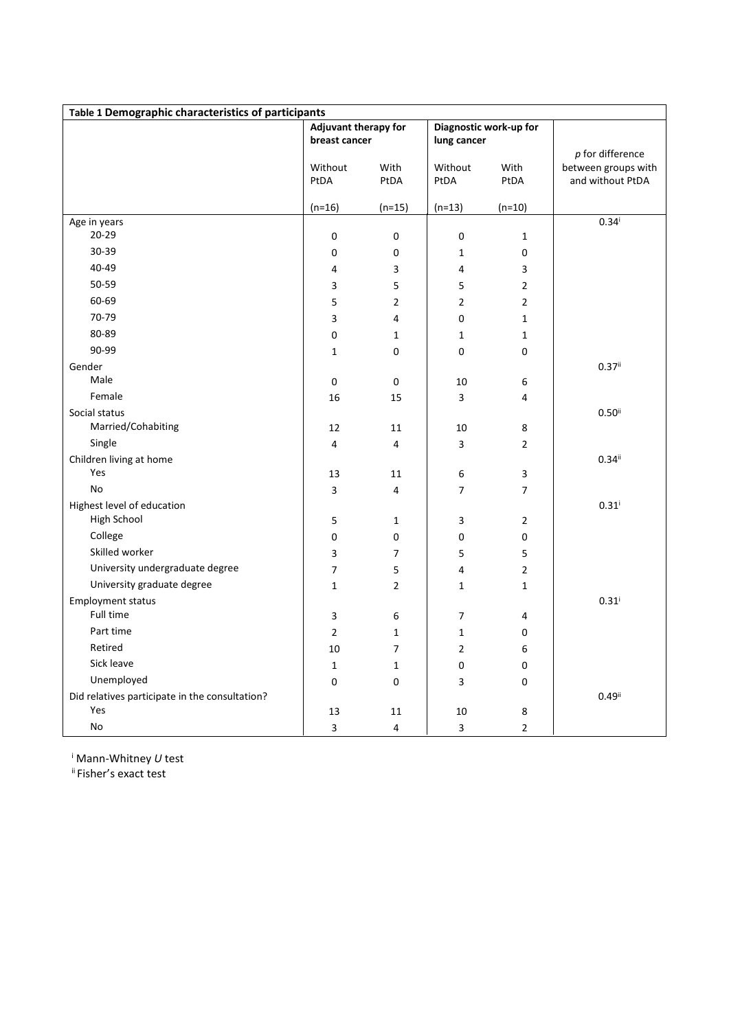| Table 1 Demographic characteristics of participants |                                       |                         |                |                        |                      |  |  |  |  |  |
|-----------------------------------------------------|---------------------------------------|-------------------------|----------------|------------------------|----------------------|--|--|--|--|--|
|                                                     | Adjuvant therapy for<br>breast cancer |                         | lung cancer    | Diagnostic work-up for |                      |  |  |  |  |  |
|                                                     |                                       |                         |                |                        | $p$ for difference   |  |  |  |  |  |
|                                                     | Without                               | With                    | Without        | With                   | between groups with  |  |  |  |  |  |
|                                                     | PtDA                                  | PtDA                    | PtDA           | PtDA                   | and without PtDA     |  |  |  |  |  |
|                                                     | $(n=16)$                              | (n=15)                  | $(n=13)$       | $(n=10)$               |                      |  |  |  |  |  |
| Age in years                                        |                                       |                         |                |                        | $0.34^{i}$           |  |  |  |  |  |
| $20 - 29$                                           | 0                                     | 0                       | 0              | $\mathbf 1$            |                      |  |  |  |  |  |
| 30-39                                               | 0                                     | 0                       | $\mathbf{1}$   | 0                      |                      |  |  |  |  |  |
| 40-49                                               | 4                                     | 3                       | 4              | 3                      |                      |  |  |  |  |  |
| 50-59                                               | 3                                     | 5                       | 5              | $\overline{2}$         |                      |  |  |  |  |  |
| 60-69                                               | 5                                     | $\overline{2}$          | $\overline{2}$ | $\overline{2}$         |                      |  |  |  |  |  |
| 70-79                                               | 3                                     | 4                       | 0              | $\mathbf{1}$           |                      |  |  |  |  |  |
| 80-89                                               | 0                                     | $\mathbf{1}$            | $\mathbf{1}$   | $\mathbf{1}$           |                      |  |  |  |  |  |
| 90-99                                               | $\mathbf{1}$                          | 0                       | 0              | 0                      |                      |  |  |  |  |  |
| Gender                                              |                                       |                         |                |                        | $0.37$ <sup>ii</sup> |  |  |  |  |  |
| Male                                                | 0                                     | $\mathbf 0$             | 10             | 6                      |                      |  |  |  |  |  |
| Female                                              | 16                                    | 15                      | 3              | 4                      |                      |  |  |  |  |  |
| Social status                                       |                                       |                         |                |                        | $0.50$ <sup>ii</sup> |  |  |  |  |  |
| Married/Cohabiting                                  | 12                                    | 11                      | 10             | 8                      |                      |  |  |  |  |  |
| Single                                              | 4                                     | $\overline{\mathbf{4}}$ | 3              | $\overline{2}$         |                      |  |  |  |  |  |
| Children living at home                             |                                       |                         |                |                        | $0.34$ <sup>ii</sup> |  |  |  |  |  |
| Yes                                                 | 13                                    | 11                      | 6              | 3                      |                      |  |  |  |  |  |
| No                                                  | 3                                     | $\overline{\mathbf{4}}$ | $\overline{7}$ | $\overline{7}$         |                      |  |  |  |  |  |
| Highest level of education                          |                                       |                         |                |                        | $0.31$ <sup>i</sup>  |  |  |  |  |  |
| High School                                         | 5                                     | $\mathbf{1}$            | 3              | $\overline{2}$         |                      |  |  |  |  |  |
| College                                             | 0                                     | $\pmb{0}$               | 0              | 0                      |                      |  |  |  |  |  |
| Skilled worker                                      | 3                                     | $\overline{7}$          | 5              | 5                      |                      |  |  |  |  |  |
| University undergraduate degree                     | $\overline{7}$                        | 5                       | 4              | $\overline{2}$         |                      |  |  |  |  |  |
| University graduate degree                          | $\mathbf{1}$                          | $\overline{2}$          | $\mathbf 1$    | $\mathbf{1}$           |                      |  |  |  |  |  |
| <b>Employment status</b>                            |                                       |                         |                |                        | $0.31$ <sup>i</sup>  |  |  |  |  |  |
| Full time                                           | 3                                     | 6                       | $\overline{7}$ | 4                      |                      |  |  |  |  |  |
| Part time                                           | $\overline{2}$                        | $\mathbf{1}$            | $\mathbf{1}$   | 0                      |                      |  |  |  |  |  |
| Retired                                             | 10                                    | 7                       | $\overline{2}$ | 6                      |                      |  |  |  |  |  |
| Sick leave                                          | $\mathbf{1}$                          | $\mathbf 1$             | 0              | 0                      |                      |  |  |  |  |  |
| Unemployed                                          | 0                                     | 0                       | 3              | 0                      |                      |  |  |  |  |  |
| Did relatives participate in the consultation?      |                                       |                         |                |                        | $0.49$ <sup>ii</sup> |  |  |  |  |  |
| Yes                                                 | 13                                    | 11                      | 10             | $\bf 8$                |                      |  |  |  |  |  |
| No                                                  | 3                                     | $\pmb{4}$               | 3              | $\overline{2}$         |                      |  |  |  |  |  |

<sup>i</sup> Mann-Whitney *U* test

ii Fisher's exact test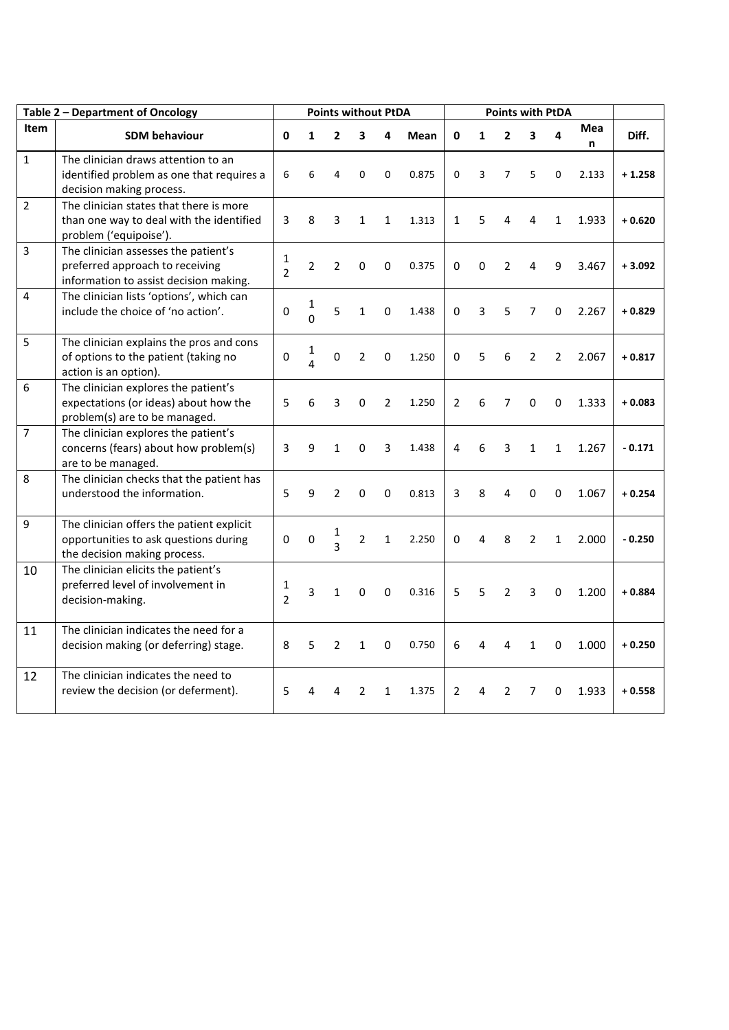| Table 2 - Department of Oncology |                                                                                                                    | <b>Points without PtDA</b>     |                     |                     |                |              |             |                | <b>Points with PtDA</b> |                |                |                |          |          |
|----------------------------------|--------------------------------------------------------------------------------------------------------------------|--------------------------------|---------------------|---------------------|----------------|--------------|-------------|----------------|-------------------------|----------------|----------------|----------------|----------|----------|
| Item                             | <b>SDM behaviour</b>                                                                                               | 0                              | 1                   | $\overline{2}$      | 3              | 4            | <b>Mean</b> | 0              | $\mathbf{1}$            | $\overline{2}$ | 3              | 4              | Mea<br>n | Diff.    |
| $\mathbf{1}$                     | The clinician draws attention to an<br>identified problem as one that requires a<br>decision making process.       | 6                              | 6                   | 4                   | 0              | $\Omega$     | 0.875       | 0              | 3                       | 7              | 5              | 0              | 2.133    | $+1.258$ |
| $\overline{2}$                   | The clinician states that there is more<br>than one way to deal with the identified<br>problem ('equipoise').      | 3                              | 8                   | 3                   | $\mathbf{1}$   | $\mathbf{1}$ | 1.313       | $\mathbf{1}$   | 5                       | $\overline{4}$ | 4              | $\mathbf{1}$   | 1.933    | $+0.620$ |
| $\overline{3}$                   | The clinician assesses the patient's<br>preferred approach to receiving<br>information to assist decision making.  | $\mathbf{1}$<br>$\overline{2}$ | $\overline{2}$      | $\overline{2}$      | 0              | 0            | 0.375       | $\Omega$       | 0                       | 2              | 4              | 9              | 3.467    | $+3.092$ |
| $\overline{4}$                   | The clinician lists 'options', which can<br>include the choice of 'no action'.                                     | 0                              | 1<br>$\overline{0}$ | 5                   | $\mathbf{1}$   | 0            | 1.438       | 0              | 3                       | 5              | 7              | 0              | 2.267    | $+0.829$ |
| 5                                | The clinician explains the pros and cons<br>of options to the patient (taking no<br>action is an option).          | $\mathbf 0$                    | 1<br>4              | $\Omega$            | $\overline{2}$ | 0            | 1.250       | 0              | 5                       | 6              | $\overline{2}$ | $\overline{2}$ | 2.067    | $+0.817$ |
| 6                                | The clinician explores the patient's<br>expectations (or ideas) about how the<br>problem(s) are to be managed.     | 5                              | 6                   | 3                   | 0              | 2            | 1.250       | $\overline{2}$ | 6                       | 7              | $\Omega$       | $\Omega$       | 1.333    | $+0.083$ |
| $\overline{7}$                   | The clinician explores the patient's<br>concerns (fears) about how problem(s)<br>are to be managed.                | 3                              | 9                   | $\mathbf{1}$        | 0              | 3            | 1.438       | 4              | 6                       | 3              | $\mathbf{1}$   | $\mathbf{1}$   | 1.267    | $-0.171$ |
| $\,8\,$                          | The clinician checks that the patient has<br>understood the information.                                           | 5                              | 9                   | $\overline{2}$      | 0              | 0            | 0.813       | 3              | 8                       | 4              | $\mathbf 0$    | $\Omega$       | 1.067    | $+0.254$ |
| $\boldsymbol{9}$                 | The clinician offers the patient explicit<br>opportunities to ask questions during<br>the decision making process. | 0                              | 0                   | 1<br>$\overline{3}$ | $\overline{2}$ | $\mathbf{1}$ | 2.250       | 0              | 4                       | 8              | $\overline{2}$ | $\mathbf{1}$   | 2.000    | $-0.250$ |
| 10                               | The clinician elicits the patient's<br>preferred level of involvement in<br>decision-making.                       | 1<br>$\mathfrak{D}$            | 3                   | 1                   | 0              | 0            | 0.316       | 5              | 5                       | $\overline{2}$ | 3              | 0              | 1.200    | $+0.884$ |
| 11                               | The clinician indicates the need for a<br>decision making (or deferring) stage.                                    | 8                              | 5                   | $\overline{2}$      | $\mathbf{1}$   | 0            | 0.750       | 6              | 4                       | 4              | 1              | 0              | 1.000    | $+0.250$ |
| 12                               | The clinician indicates the need to<br>review the decision (or deferment).                                         | 5                              | Δ                   | Δ                   | 2              | $\mathbf{1}$ | 1.375       | $\overline{2}$ | 4                       | 2              | 7              | 0              | 1.933    | $+0.558$ |